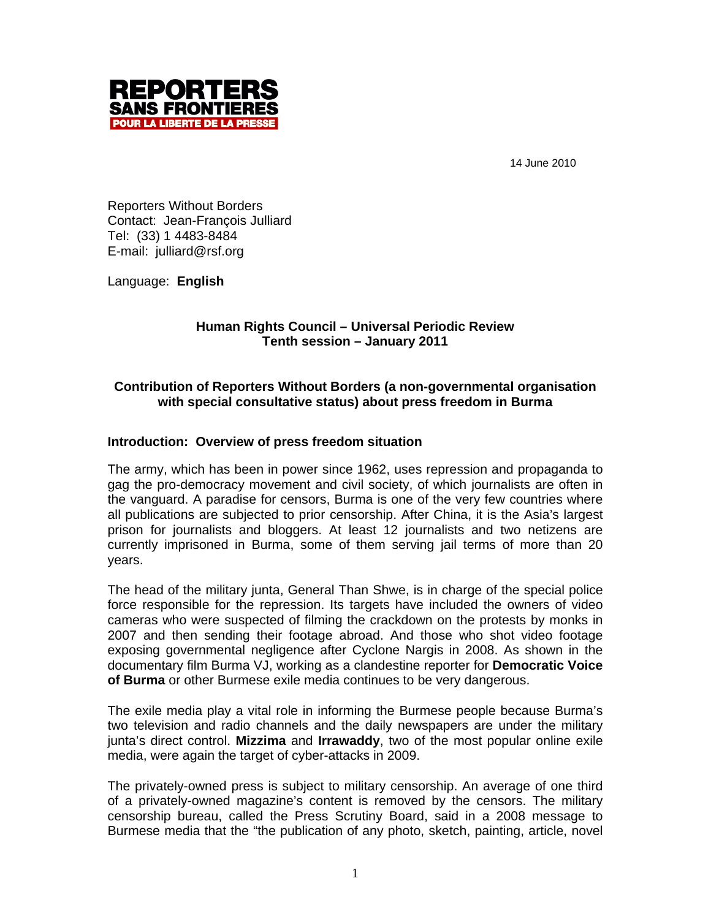

14 June 2010

Reporters Without Borders Contact: Jean-François Julliard Tel: (33) 1 4483-8484 E-mail: julliard@rsf.org

Language: **English**

# **Human Rights Council – Universal Periodic Review Tenth session – January 2011**

# **Contribution of Reporters Without Borders (a non-governmental organisation with special consultative status) about press freedom in Burma**

## **Introduction: Overview of press freedom situation**

The army, which has been in power since 1962, uses repression and propaganda to gag the pro-democracy movement and civil society, of which journalists are often in the vanguard. A paradise for censors, Burma is one of the very few countries where all publications are subjected to prior censorship. After China, it is the Asia's largest prison for journalists and bloggers. At least 12 journalists and two netizens are currently imprisoned in Burma, some of them serving jail terms of more than 20 years.

The head of the military junta, General Than Shwe, is in charge of the special police force responsible for the repression. Its targets have included the owners of video cameras who were suspected of filming the crackdown on the protests by monks in 2007 and then sending their footage abroad. And those who shot video footage exposing governmental negligence after Cyclone Nargis in 2008. As shown in the documentary film Burma VJ, working as a clandestine reporter for **Democratic Voice of Burma** or other Burmese exile media continues to be very dangerous.

The exile media play a vital role in informing the Burmese people because Burma's two television and radio channels and the daily newspapers are under the military junta's direct control. **Mizzima** and **Irrawaddy**, two of the most popular online exile media, were again the target of cyber-attacks in 2009.

The privately-owned press is subject to military censorship. An average of one third of a privately-owned magazine's content is removed by the censors. The military censorship bureau, called the Press Scrutiny Board, said in a 2008 message to Burmese media that the "the publication of any photo, sketch, painting, article, novel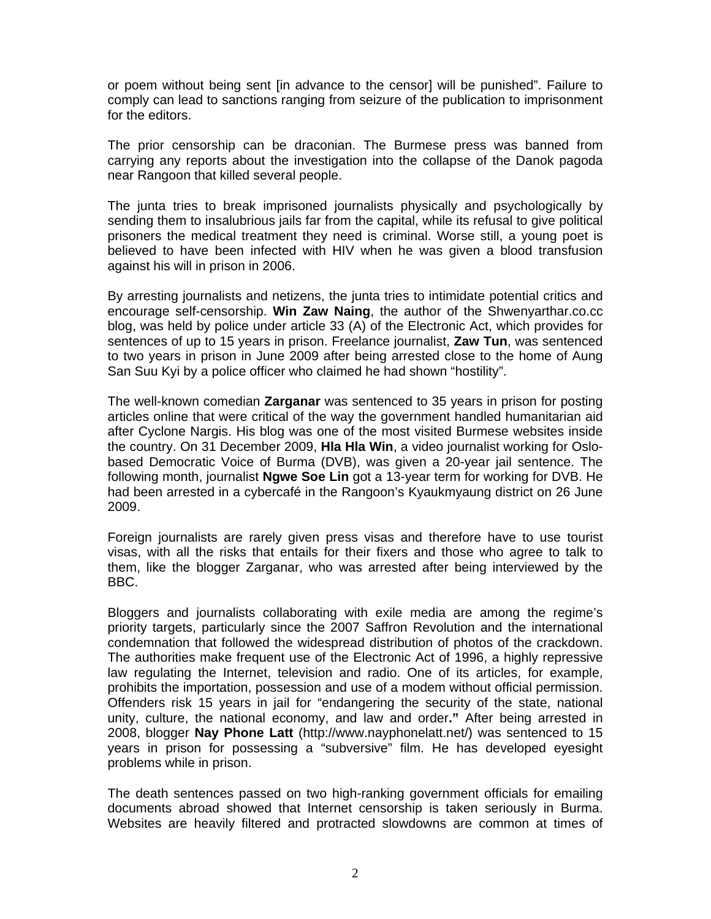or poem without being sent [in advance to the censor] will be punished". Failure to comply can lead to sanctions ranging from seizure of the publication to imprisonment for the editors.

The prior censorship can be draconian. The Burmese press was banned from carrying any reports about the investigation into the collapse of the Danok pagoda near Rangoon that killed several people.

The junta tries to break imprisoned journalists physically and psychologically by sending them to insalubrious jails far from the capital, while its refusal to give political prisoners the medical treatment they need is criminal. Worse still, a young poet is believed to have been infected with HIV when he was given a blood transfusion against his will in prison in 2006.

By arresting journalists and netizens, the junta tries to intimidate potential critics and encourage self-censorship. **Win Zaw Naing**, the author of the Shwenyarthar.co.cc blog, was held by police under article 33 (A) of the Electronic Act, which provides for sentences of up to 15 years in prison. Freelance journalist, **Zaw Tun**, was sentenced to two years in prison in June 2009 after being arrested close to the home of Aung San Suu Kyi by a police officer who claimed he had shown "hostility".

The well-known comedian **Zarganar** was sentenced to 35 years in prison for posting articles online that were critical of the way the government handled humanitarian aid after Cyclone Nargis. His blog was one of the most visited Burmese websites inside the country. On 31 December 2009, **Hla Hla Win**, a video journalist working for Oslobased Democratic Voice of Burma (DVB), was given a 20-year jail sentence. The following month, journalist **Ngwe Soe Lin** got a 13-year term for working for DVB. He had been arrested in a cybercafé in the Rangoon's Kyaukmyaung district on 26 June 2009.

Foreign journalists are rarely given press visas and therefore have to use tourist visas, with all the risks that entails for their fixers and those who agree to talk to them, like the blogger Zarganar, who was arrested after being interviewed by the BBC.

Bloggers and journalists collaborating with exile media are among the regime's priority targets, particularly since the 2007 Saffron Revolution and the international condemnation that followed the widespread distribution of photos of the crackdown. The authorities make frequent use of the Electronic Act of 1996, a highly repressive law regulating the Internet, television and radio. One of its articles, for example, prohibits the importation, possession and use of a modem without official permission. Offenders risk 15 years in jail for "endangering the security of the state, national unity, culture, the national economy, and law and order**."** After being arrested in 2008, blogger **Nay Phone Latt** (http://www.nayphonelatt.net/) was sentenced to 15 years in prison for possessing a "subversive" film. He has developed eyesight problems while in prison.

The death sentences passed on two high-ranking government officials for emailing documents abroad showed that Internet censorship is taken seriously in Burma. Websites are heavily filtered and protracted slowdowns are common at times of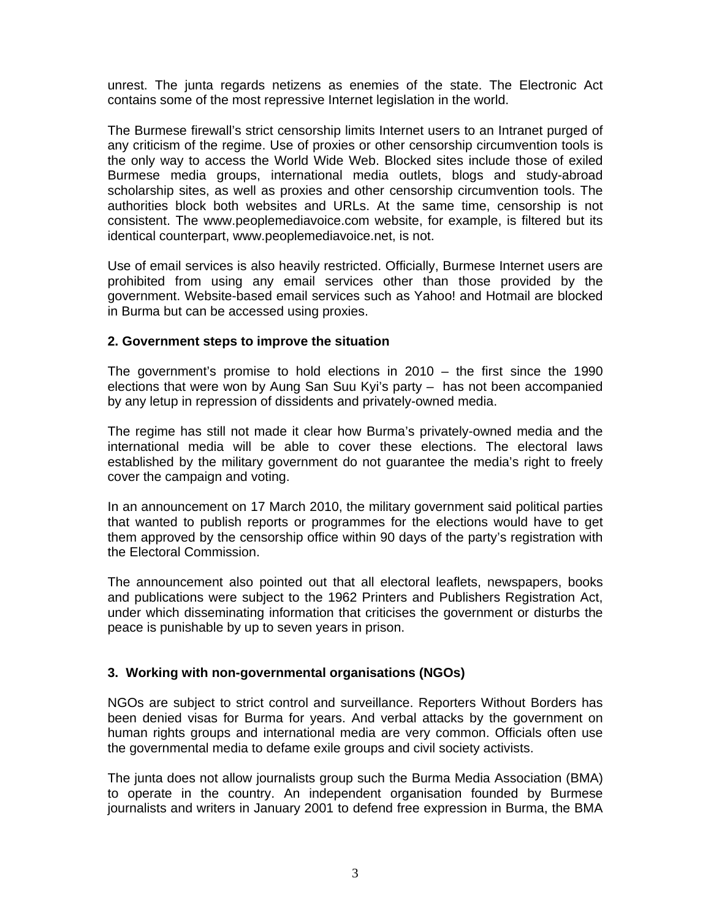unrest. The junta regards netizens as enemies of the state. The Electronic Act contains some of the most repressive Internet legislation in the world.

The Burmese firewall's strict censorship limits Internet users to an Intranet purged of any criticism of the regime. Use of proxies or other censorship circumvention tools is the only way to access the World Wide Web. Blocked sites include those of exiled Burmese media groups, international media outlets, blogs and study-abroad scholarship sites, as well as proxies and other censorship circumvention tools. The authorities block both websites and URLs. At the same time, censorship is not consistent. The www.peoplemediavoice.com website, for example, is filtered but its identical counterpart, www.peoplemediavoice.net, is not.

Use of email services is also heavily restricted. Officially, Burmese Internet users are prohibited from using any email services other than those provided by the government. Website-based email services such as Yahoo! and Hotmail are blocked in Burma but can be accessed using proxies.

## **2. Government steps to improve the situation**

The government's promise to hold elections in 2010 – the first since the 1990 elections that were won by Aung San Suu Kyi's party – has not been accompanied by any letup in repression of dissidents and privately-owned media.

The regime has still not made it clear how Burma's privately-owned media and the international media will be able to cover these elections. The electoral laws established by the military government do not guarantee the media's right to freely cover the campaign and voting.

In an announcement on 17 March 2010, the military government said political parties that wanted to publish reports or programmes for the elections would have to get them approved by the censorship office within 90 days of the party's registration with the Electoral Commission.

The announcement also pointed out that all electoral leaflets, newspapers, books and publications were subject to the 1962 Printers and Publishers Registration Act, under which disseminating information that criticises the government or disturbs the peace is punishable by up to seven years in prison.

## **3. Working with non-governmental organisations (NGOs)**

NGOs are subject to strict control and surveillance. Reporters Without Borders has been denied visas for Burma for years. And verbal attacks by the government on human rights groups and international media are very common. Officials often use the governmental media to defame exile groups and civil society activists.

The junta does not allow journalists group such the Burma Media Association (BMA) to operate in the country. An independent organisation founded by Burmese journalists and writers in January 2001 to defend free expression in Burma, the BMA